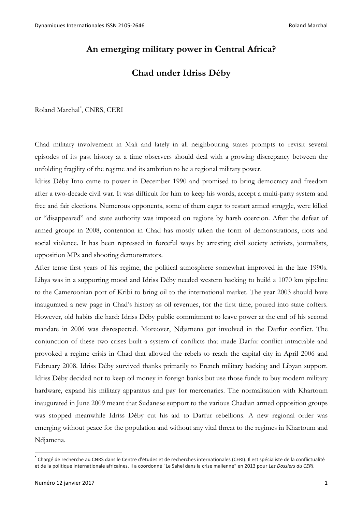# **An emerging military power in Central Africa?**

# **Chad under Idriss Déby**

Roland Marchal\* , CNRS, CERI

Chad military involvement in Mali and lately in all neighbouring states prompts to revisit several episodes of its past history at a time observers should deal with a growing discrepancy between the unfolding fragility of the regime and its ambition to be a regional military power.

Idriss Déby Itno came to power in December 1990 and promised to bring democracy and freedom after a two-decade civil war. It was difficult for him to keep his words, accept a multi-party system and free and fair elections. Numerous opponents, some of them eager to restart armed struggle, were killed or "disappeared" and state authority was imposed on regions by harsh coercion. After the defeat of armed groups in 2008, contention in Chad has mostly taken the form of demonstrations, riots and social violence. It has been repressed in forceful ways by arresting civil society activists, journalists, opposition MPs and shooting demonstrators.

After tense first years of his regime, the political atmosphere somewhat improved in the late 1990s. Libya was in a supporting mood and Idriss Déby needed western backing to build a 1070 km pipeline to the Cameroonian port of Kribi to bring oil to the international market. The year 2003 should have inaugurated a new page in Chad's history as oil revenues, for the first time, poured into state coffers. However, old habits die hard: Idriss Déby public commitment to leave power at the end of his second mandate in 2006 was disrespected. Moreover, Ndjamena got involved in the Darfur conflict. The conjunction of these two crises built a system of conflicts that made Darfur conflict intractable and provoked a regime crisis in Chad that allowed the rebels to reach the capital city in April 2006 and February 2008. Idriss Déby survived thanks primarily to French military backing and Libyan support. Idriss Déby decided not to keep oil money in foreign banks but use those funds to buy modern military hardware, expand his military apparatus and pay for mercenaries. The normalisation with Khartoum inaugurated in June 2009 meant that Sudanese support to the various Chadian armed opposition groups was stopped meanwhile Idriss Déby cut his aid to Darfur rebellions. A new regional order was emerging without peace for the population and without any vital threat to the regimes in Khartoum and Ndjamena.

Chargé de recherche au CNRS dans le Centre d'études et de recherches internationales (CERI). Il est spécialiste de la conflictualité et de la politique internationale africaines. Il a coordonné "Le Sahel dans la crise malienne" en 2013 pour Les Dossiers du CERI.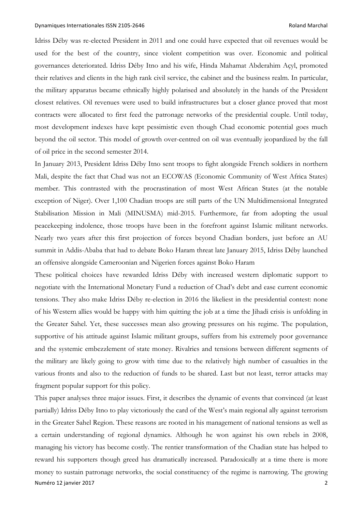Idriss Déby was re-elected President in 2011 and one could have expected that oil revenues would be used for the best of the country, since violent competition was over. Economic and political governances deteriorated. Idriss Déby Itno and his wife, Hinda Mahamat Abderahim Açyl, promoted their relatives and clients in the high rank civil service, the cabinet and the business realm. In particular, the military apparatus became ethnically highly polarised and absolutely in the hands of the President closest relatives. Oil revenues were used to build infrastructures but a closer glance proved that most contracts were allocated to first feed the patronage networks of the presidential couple. Until today, most development indexes have kept pessimistic even though Chad economic potential goes much beyond the oil sector. This model of growth over-centred on oil was eventually jeopardized by the fall of oil price in the second semester 2014.

In January 2013, President Idriss Déby Itno sent troops to fight alongside French soldiers in northern Mali, despite the fact that Chad was not an ECOWAS (Economic Community of West Africa States) member. This contrasted with the procrastination of most West African States (at the notable exception of Niger). Over 1,100 Chadian troops are still parts of the UN Multidimensional Integrated Stabilisation Mission in Mali (MINUSMA) mid-2015. Furthermore, far from adopting the usual peacekeeping indolence, those troops have been in the forefront against Islamic militant networks. Nearly two years after this first projection of forces beyond Chadian borders, just before an AU summit in Addis-Ababa that had to debate Boko Haram threat late January 2015, Idriss Déby launched an offensive alongside Cameroonian and Nigerien forces against Boko Haram

These political choices have rewarded Idriss Déby with increased western diplomatic support to negotiate with the International Monetary Fund a reduction of Chad's debt and ease current economic tensions. They also make Idriss Déby re-election in 2016 the likeliest in the presidential contest: none of his Western allies would be happy with him quitting the job at a time the Jihadi crisis is unfolding in the Greater Sahel. Yet, these successes mean also growing pressures on his regime. The population, supportive of his attitude against Islamic militant groups, suffers from his extremely poor governance and the systemic embezzlement of state money. Rivalries and tensions between different segments of the military are likely going to grow with time due to the relatively high number of casualties in the various fronts and also to the reduction of funds to be shared. Last but not least, terror attacks may fragment popular support for this policy.

Numéro 12 janvier 2017 2 This paper analyses three major issues. First, it describes the dynamic of events that convinced (at least partially) Idriss Déby Itno to play victoriously the card of the West's main regional ally against terrorism in the Greater Sahel Region. These reasons are rooted in his management of national tensions as well as a certain understanding of regional dynamics. Although he won against his own rebels in 2008, managing his victory has become costly. The rentier transformation of the Chadian state has helped to reward his supporters though greed has dramatically increased. Paradoxically at a time there is more money to sustain patronage networks, the social constituency of the regime is narrowing. The growing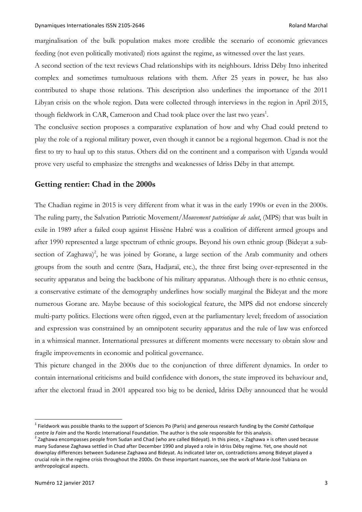marginalisation of the bulk population makes more credible the scenario of economic grievances feeding (not even politically motivated) riots against the regime, as witnessed over the last years.

A second section of the text reviews Chad relationships with its neighbours. Idriss Déby Itno inherited complex and sometimes tumultuous relations with them. After 25 years in power, he has also contributed to shape those relations. This description also underlines the importance of the 2011 Libyan crisis on the whole region. Data were collected through interviews in the region in April 2015, though fieldwork in CAR, Cameroon and Chad took place over the last two years<sup>1</sup>.

The conclusive section proposes a comparative explanation of how and why Chad could pretend to play the role of a regional military power, even though it cannot be a regional hegemon. Chad is not the first to try to haul up to this status. Others did on the continent and a comparison with Uganda would prove very useful to emphasize the strengths and weaknesses of Idriss Déby in that attempt.

## **Getting rentier: Chad in the 2000s**

The Chadian regime in 2015 is very different from what it was in the early 1990s or even in the 2000s. The ruling party, the Salvation Patriotic Movement/*Mouvement patriotique de salut*, (MPS) that was built in exile in 1989 after a failed coup against Hissène Habré was a coalition of different armed groups and after 1990 represented a large spectrum of ethnic groups. Beyond his own ethnic group (Bideyat a subsection of Zaghawa)<sup>2</sup>, he was joined by Gorane, a large section of the Arab community and others groups from the south and centre (Sara, Hadjaraï, etc.), the three first being over-represented in the security apparatus and being the backbone of his military apparatus. Although there is no ethnic census, a conservative estimate of the demography underlines how socially marginal the Bideyat and the more numerous Gorane are. Maybe because of this sociological feature, the MPS did not endorse sincerely multi-party politics. Elections were often rigged, even at the parliamentary level; freedom of association and expression was constrained by an omnipotent security apparatus and the rule of law was enforced in a whimsical manner. International pressures at different moments were necessary to obtain slow and fragile improvements in economic and political governance.

This picture changed in the 2000s due to the conjunction of three different dynamics. In order to contain international criticisms and build confidence with donors, the state improved its behaviour and, after the electoral fraud in 2001 appeared too big to be denied, Idriss Déby announced that he would

<sup>1</sup> Fieldwork was possible thanks to the support of Sciences Po (Paris) and generous research funding by the *Comité Catholique* contre la Faim and the Nordic International Foundation. The author is the sole responsible for this analysis.<br><sup>2</sup> Zaghawa encompasses people from Sudan and Chad (who are called Bideyat). In this piece, « Zaghawa » is often

many Sudanese Zaghawa settled in Chad after December 1990 and played a role in Idriss Déby regime. Yet, one should not downplay differences between Sudanese Zaghawa and Bideyat. As indicated later on, contradictions among Bideyat played a crucial role in the regime crisis throughout the 2000s. On these important nuances, see the work of Marie-José Tubiana on anthropological aspects.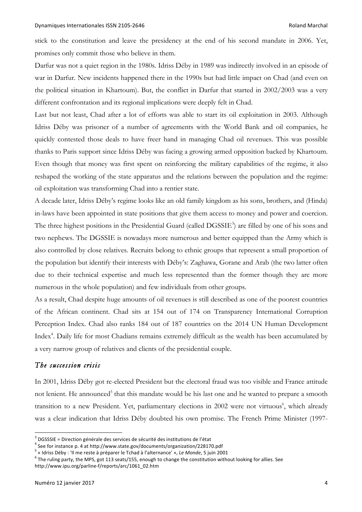stick to the constitution and leave the presidency at the end of his second mandate in 2006. Yet, promises only commit those who believe in them.

Darfur was not a quiet region in the 1980s. Idriss Déby in 1989 was indirectly involved in an episode of war in Darfur. New incidents happened there in the 1990s but had little impact on Chad (and even on the political situation in Khartoum). But, the conflict in Darfur that started in 2002/2003 was a very different confrontation and its regional implications were deeply felt in Chad.

Last but not least, Chad after a lot of efforts was able to start its oil exploitation in 2003. Although Idriss Déby was prisoner of a number of agreements with the World Bank and oil companies, he quickly contested those deals to have freer hand in managing Chad oil revenues. This was possible thanks to Paris support since Idriss Déby was facing a growing armed opposition backed by Khartoum. Even though that money was first spent on reinforcing the military capabilities of the regime, it also reshaped the working of the state apparatus and the relations between the population and the regime: oil exploitation was transforming Chad into a rentier state.

A decade later, Idriss Déby's regime looks like an old family kingdom as his sons, brothers, and (Hinda) in-laws have been appointed in state positions that give them access to money and power and coercion. The three highest positions in the Presidential Guard (called DGSSIE<sup>3</sup>) are filled by one of his sons and two nephews. The DGSSIE is nowadays more numerous and better equipped than the Army which is also controlled by close relatives. Recruits belong to ethnic groups that represent a small proportion of the population but identify their interests with Déby's: Zaghawa, Gorane and Arab (the two latter often due to their technical expertise and much less represented than the former though they are more numerous in the whole population) and few individuals from other groups.

As a result, Chad despite huge amounts of oil revenues is still described as one of the poorest countries of the African continent. Chad sits at 154 out of 174 on Transparency International Corruption Perception Index. Chad also ranks 184 out of 187 countries on the 2014 UN Human Development Index<sup>4</sup>. Daily life for most Chadians remains extremely difficult as the wealth has been accumulated by a very narrow group of relatives and clients of the presidential couple.

# *The succession crisis*

In 2001, Idriss Déby got re-elected President but the electoral fraud was too visible and France attitude not lenient. He announced<sup>5</sup> that this mandate would be his last one and he wanted to prepare a smooth transition to a new President. Yet, parliamentary elections in 2002 were not virtuous<sup>6</sup>, which already was a clear indication that Idriss Déby doubted his own promise. The French Prime Minister (1997-

<sup>&</sup>lt;sup>3</sup> DGSSSIE = Direction générale des services de sécurité des institutions de l'état<br><sup>4</sup> See for instance p. 4 at http://www.state.gov/documents/organization/228170.pdf<br><sup>5</sup> « Idriss Déby : 'Il me reste à préparer le Tchad http://www.ipu.org/parline-f/reports/arc/1061\_02.htm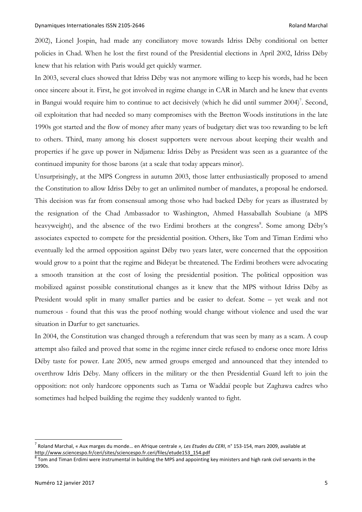2002), Lionel Jospin, had made any conciliatory move towards Idriss Déby conditional on better policies in Chad. When he lost the first round of the Presidential elections in April 2002, Idriss Déby knew that his relation with Paris would get quickly warmer.

In 2003, several clues showed that Idriss Déby was not anymore willing to keep his words, had he been once sincere about it. First, he got involved in regime change in CAR in March and he knew that events in Bangui would require him to continue to act decisively (which he did until summer  $2004$ )<sup>7</sup>. Second, oil exploitation that had needed so many compromises with the Bretton Woods institutions in the late 1990s got started and the flow of money after many years of budgetary diet was too rewarding to be left to others. Third, many among his closest supporters were nervous about keeping their wealth and properties if he gave up power in Ndjamena: Idriss Déby as President was seen as a guarantee of the continued impunity for those barons (at a scale that today appears minor).

Unsurprisingly, at the MPS Congress in autumn 2003, those latter enthusiastically proposed to amend the Constitution to allow Idriss Déby to get an unlimited number of mandates, a proposal he endorsed. This decision was far from consensual among those who had backed Déby for years as illustrated by the resignation of the Chad Ambassador to Washington, Ahmed Hassaballah Soubiane (a MPS heavyweight), and the absence of the two Erdimi brothers at the congress<sup>8</sup>. Some among Déby's associates expected to compete for the presidential position. Others, like Tom and Timan Erdimi who eventually led the armed opposition against Déby two years later, were concerned that the opposition would grow to a point that the regime and Bideyat be threatened. The Erdimi brothers were advocating a smooth transition at the cost of losing the presidential position. The political opposition was mobilized against possible constitutional changes as it knew that the MPS without Idriss Déby as President would split in many smaller parties and be easier to defeat. Some – yet weak and not numerous - found that this was the proof nothing would change without violence and used the war situation in Darfur to get sanctuaries.

In 2004, the Constitution was changed through a referendum that was seen by many as a scam. A coup attempt also failed and proved that some in the regime inner circle refused to endorse once more Idriss Déby taste for power. Late 2005, new armed groups emerged and announced that they intended to overthrow Idris Déby. Many officers in the military or the then Presidential Guard left to join the opposition: not only hardcore opponents such as Tama or Waddaï people but Zaghawa cadres who sometimes had helped building the regime they suddenly wanted to fight.

<sup>7</sup> Roland Marchal, « Aux marges du monde… en Afrique centrale *», Les Etudes du CERI*, n° 153-154, mars 2009, available at http://www.sciencespo.fr/ceri/sites/sciencespo.fr.ceri/files/etude153\_154.pdf<br><sup>8</sup> Tom and Timan Erdimi were instrumental in building the MPS and appointing key ministers and high rank civil servants in the

<sup>1990</sup>s.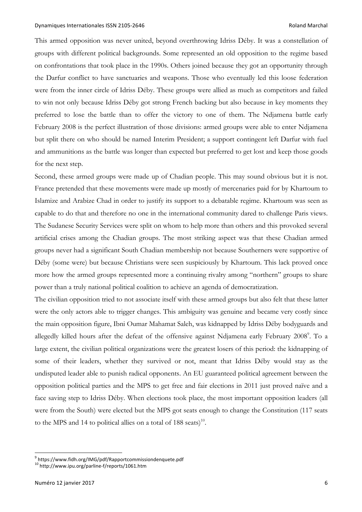This armed opposition was never united, beyond overthrowing Idriss Déby. It was a constellation of groups with different political backgrounds. Some represented an old opposition to the regime based on confrontations that took place in the 1990s. Others joined because they got an opportunity through the Darfur conflict to have sanctuaries and weapons. Those who eventually led this loose federation were from the inner circle of Idriss Déby. These groups were allied as much as competitors and failed to win not only because Idriss Déby got strong French backing but also because in key moments they preferred to lose the battle than to offer the victory to one of them. The Ndjamena battle early February 2008 is the perfect illustration of those divisions: armed groups were able to enter Ndjamena but split there on who should be named Interim President; a support contingent left Darfur with fuel and ammunitions as the battle was longer than expected but preferred to get lost and keep those goods for the next step.

Second, these armed groups were made up of Chadian people. This may sound obvious but it is not. France pretended that these movements were made up mostly of mercenaries paid for by Khartoum to Islamize and Arabize Chad in order to justify its support to a debatable regime. Khartoum was seen as capable to do that and therefore no one in the international community dared to challenge Paris views. The Sudanese Security Services were split on whom to help more than others and this provoked several artificial crises among the Chadian groups. The most striking aspect was that these Chadian armed groups never had a significant South Chadian membership not because Southerners were supportive of Déby (some were) but because Christians were seen suspiciously by Khartoum. This lack proved once more how the armed groups represented more a continuing rivalry among "northern" groups to share power than a truly national political coalition to achieve an agenda of democratization.

The civilian opposition tried to not associate itself with these armed groups but also felt that these latter were the only actors able to trigger changes. This ambiguity was genuine and became very costly since the main opposition figure, Ibni Oumar Mahamat Saleh, was kidnapped by Idriss Déby bodyguards and allegedly killed hours after the defeat of the offensive against Ndjamena early February 2008<sup>9</sup>. To a large extent, the civilian political organizations were the greatest losers of this period: the kidnapping of some of their leaders, whether they survived or not, meant that Idriss Déby would stay as the undisputed leader able to punish radical opponents. An EU guaranteed political agreement between the opposition political parties and the MPS to get free and fair elections in 2011 just proved naïve and a face saving step to Idriss Déby. When elections took place, the most important opposition leaders (all were from the South) were elected but the MPS got seats enough to change the Constitution (117 seats to the MPS and 14 to political allies on a total of 188 seats)<sup>10</sup>.

 $9 \text{ https://www.fidh.org/IMG/pdf/Rapportcommissiondenquette.pdf}$ <br> $10 \text{ http://www.ipu.org/parline-f/reports/1061.htm}$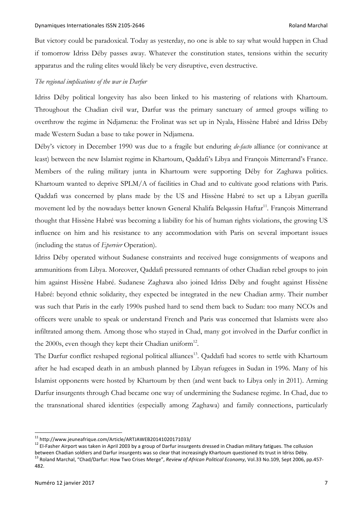But victory could be paradoxical. Today as yesterday, no one is able to say what would happen in Chad if tomorrow Idriss Déby passes away. Whatever the constitution states, tensions within the security apparatus and the ruling elites would likely be very disruptive, even destructive.

## *The regional implications of the war in Darfur*

Idriss Déby political longevity has also been linked to his mastering of relations with Khartoum. Throughout the Chadian civil war, Darfur was the primary sanctuary of armed groups willing to overthrow the regime in Ndjamena: the Frolinat was set up in Nyala, Hissène Habré and Idriss Déby made Western Sudan a base to take power in Ndjamena.

Déby's victory in December 1990 was due to a fragile but enduring *de-facto* alliance (or connivance at least) between the new Islamist regime in Khartoum, Qaddafi's Libya and François Mitterrand's France. Members of the ruling military junta in Khartoum were supporting Déby for Zaghawa politics. Khartoum wanted to deprive SPLM/A of facilities in Chad and to cultivate good relations with Paris. Qaddafi was concerned by plans made by the US and Hissène Habré to set up a Libyan guerilla movement led by the nowadays better known General Khalifa Belqassin Haftar<sup>11</sup>. François Mitterrand thought that Hissène Habré was becoming a liability for his of human rights violations, the growing US influence on him and his resistance to any accommodation with Paris on several important issues (including the status of *Epervier* Operation).

Idriss Déby operated without Sudanese constraints and received huge consignments of weapons and ammunitions from Libya. Moreover, Qaddafi pressured remnants of other Chadian rebel groups to join him against Hissène Habré. Sudanese Zaghawa also joined Idriss Déby and fought against Hissène Habré: beyond ethnic solidarity, they expected be integrated in the new Chadian army. Their number was such that Paris in the early 1990s pushed hard to send them back to Sudan: too many NCOs and officers were unable to speak or understand French and Paris was concerned that Islamists were also infiltrated among them. Among those who stayed in Chad, many got involved in the Darfur conflict in the 2000s, even though they kept their Chadian uniform<sup>12</sup>.

The Darfur conflict reshaped regional political alliances<sup>13</sup>. Qaddafi had scores to settle with Khartoum after he had escaped death in an ambush planned by Libyan refugees in Sudan in 1996. Many of his Islamist opponents were hosted by Khartoum by then (and went back to Libya only in 2011). Arming Darfur insurgents through Chad became one way of undermining the Sudanese regime. In Chad, due to the transnational shared identities (especially among Zaghawa) and family connections, particularly

<sup>&</sup>lt;sup>11</sup> http://www.jeuneafrique.com/Article/ARTJAWEB20141020171033/<br><sup>12</sup> El-Fasher Airport was taken in April 2003 by a group of Darfur insurgents dressed in Chadian military fatigues. The collusion between Chadian soldiers and Darfur insurgents was so clear that increasingly Khartoum questioned its trust in Idriss Déby.<br><sup>13</sup> Roland Marchal, "Chad/Darfur: How Two Crises Merge", *Review of African Political Economy*, V 482.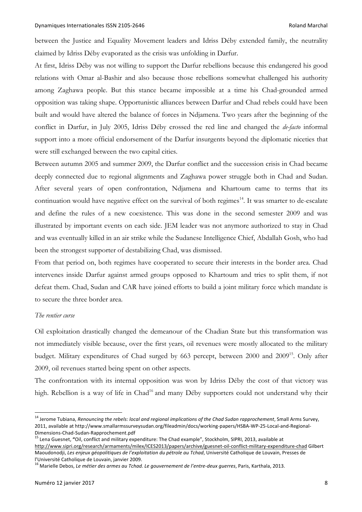between the Justice and Equality Movement leaders and Idriss Déby extended family, the neutrality claimed by Idriss Déby evaporated as the crisis was unfolding in Darfur.

At first, Idriss Déby was not willing to support the Darfur rebellions because this endangered his good relations with Omar al-Bashir and also because those rebellions somewhat challenged his authority among Zaghawa people. But this stance became impossible at a time his Chad-grounded armed opposition was taking shape. Opportunistic alliances between Darfur and Chad rebels could have been built and would have altered the balance of forces in Ndjamena. Two years after the beginning of the conflict in Darfur, in July 2005, Idriss Déby crossed the red line and changed the *de-facto* informal support into a more official endorsement of the Darfur insurgents beyond the diplomatic niceties that were still exchanged between the two capital cities.

Between autumn 2005 and summer 2009, the Darfur conflict and the succession crisis in Chad became deeply connected due to regional alignments and Zaghawa power struggle both in Chad and Sudan. After several years of open confrontation, Ndjamena and Khartoum came to terms that its continuation would have negative effect on the survival of both regimes<sup>14</sup>. It was smarter to de-escalate and define the rules of a new coexistence. This was done in the second semester 2009 and was illustrated by important events on each side. JEM leader was not anymore authorized to stay in Chad and was eventually killed in an air strike while the Sudanese Intelligence Chief, Abdallah Gosh, who had been the strongest supporter of destabilizing Chad, was dismissed.

From that period on, both regimes have cooperated to secure their interests in the border area. Chad intervenes inside Darfur against armed groups opposed to Khartoum and tries to split them, if not defeat them. Chad, Sudan and CAR have joined efforts to build a joint military force which mandate is to secure the three border area.

## *The rentier curse*

Oil exploitation drastically changed the demeanour of the Chadian State but this transformation was not immediately visible because, over the first years, oil revenues were mostly allocated to the military budget. Military expenditures of Chad surged by 663 percept, between 2000 and 2009<sup>15</sup>. Only after 2009, oil revenues started being spent on other aspects.

The confrontation with its internal opposition was won by Idriss Déby the cost of that victory was high. Rebellion is a way of life in Chad<sup>16</sup> and many Déby supporters could not understand why their

<sup>14</sup> Jerome Tubiana, *Renouncing the rebels: local and regional implications of the Chad Sudan rapprochement*, Small Arms Survey, 2011, available at http://www.smallarmssurveysudan.org/fileadmin/docs/working-papers/HSBA-WP-25-Local-and-Regional-

Dimensions-Chad-Sudan-Rapprochement.pdf <sup>15</sup> Lena Guesnet, **"**Oil, conflict and military expenditure: The Chad example", Stockholm, SIPRI, 2013, available at http://www.sipri.org/research/armaments/milex/ICES2013/papers/archive/guesnet-oil-conflict-military-expenditure-chad Gilbert Maoudonodji, *Les enjeux géopolitiques de l'exploitation du pétrole au Tchad*, Université Catholique de Louvain, Presses de

l'Université Catholique de Louvain, janvier 2009.<br><sup>16</sup> Marielle Debos, *Le métier des armes au Tchad. Le gouvernement de l'entre-deux guerres, Paris, Karthala, 2013.*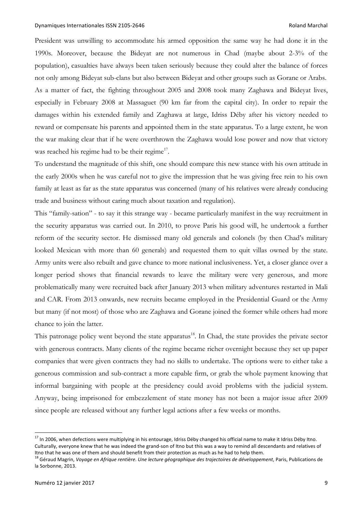President was unwilling to accommodate his armed opposition the same way he had done it in the 1990s. Moreover, because the Bideyat are not numerous in Chad (maybe about 2-3% of the population), casualties have always been taken seriously because they could alter the balance of forces not only among Bideyat sub-clans but also between Bideyat and other groups such as Gorane or Arabs. As a matter of fact, the fighting throughout 2005 and 2008 took many Zaghawa and Bideyat lives, especially in February 2008 at Massaguet (90 km far from the capital city). In order to repair the damages within his extended family and Zaghawa at large, Idriss Déby after his victory needed to reward or compensate his parents and appointed them in the state apparatus. To a large extent, he won the war making clear that if he were overthrown the Zaghawa would lose power and now that victory was reached his regime had to be their regime<sup>17</sup>.

To understand the magnitude of this shift, one should compare this new stance with his own attitude in the early 2000s when he was careful not to give the impression that he was giving free rein to his own family at least as far as the state apparatus was concerned (many of his relatives were already conducing trade and business without caring much about taxation and regulation).

This "family-sation" - to say it this strange way - became particularly manifest in the way recruitment in the security apparatus was carried out. In 2010, to prove Paris his good will, he undertook a further reform of the security sector. He dismissed many old generals and colonels (by then Chad's military looked Mexican with more than 60 generals) and requested them to quit villas owned by the state. Army units were also rebuilt and gave chance to more national inclusiveness. Yet, a closer glance over a longer period shows that financial rewards to leave the military were very generous, and more problematically many were recruited back after January 2013 when military adventures restarted in Mali and CAR. From 2013 onwards, new recruits became employed in the Presidential Guard or the Army but many (if not most) of those who are Zaghawa and Gorane joined the former while others had more chance to join the latter.

This patronage policy went beyond the state apparatus<sup>18</sup>. In Chad, the state provides the private sector with generous contracts. Many clients of the regime became richer overnight because they set up paper companies that were given contracts they had no skills to undertake. The options were to either take a generous commission and sub-contract a more capable firm, or grab the whole payment knowing that informal bargaining with people at the presidency could avoid problems with the judicial system. Anyway, being imprisoned for embezzlement of state money has not been a major issue after 2009 since people are released without any further legal actions after a few weeks or months.

<sup>&</sup>lt;sup>17</sup> In 2006, when defections were multiplying in his entourage, Idriss Déby changed his official name to make it Idriss Déby Itno. Culturally, everyone knew that he was indeed the grand-son of Itno but this was a way to remind all descendants and relatives of Itno that he was one of them and should benefit from their protection as much as he had to help them.<br><sup>18</sup> Géraud Magrin, Voyage en Afrique rentière. Une lecture géographique des trajectoires de développement, Paris, Publi

la Sorbonne, 2013.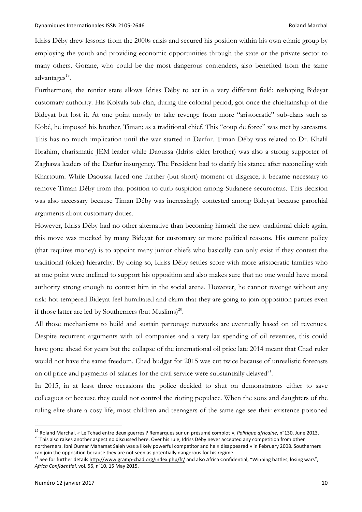Idriss Déby drew lessons from the 2000s crisis and secured his position within his own ethnic group by employing the youth and providing economic opportunities through the state or the private sector to many others. Gorane, who could be the most dangerous contenders, also benefited from the same advantages<sup>19</sup>.

Furthermore, the rentier state allows Idriss Déby to act in a very different field: reshaping Bideyat customary authority. His Kolyala sub-clan, during the colonial period, got once the chieftainship of the Bideyat but lost it. At one point mostly to take revenge from more "aristocratic" sub-clans such as Kobé, he imposed his brother, Timan; as a traditional chief. This "coup de force" was met by sarcasms. This has no much implication until the war started in Darfur. Timan Déby was related to Dr. Khalil Ibrahim, charismatic JEM leader while Daoussa (Idriss elder brother) was also a strong supporter of Zaghawa leaders of the Darfur insurgency. The President had to clarify his stance after reconciling with Khartoum. While Daoussa faced one further (but short) moment of disgrace, it became necessary to remove Timan Déby from that position to curb suspicion among Sudanese securocrats. This decision was also necessary because Timan Déby was increasingly contested among Bideyat because parochial arguments about customary duties.

However, Idriss Déby had no other alternative than becoming himself the new traditional chief: again, this move was mocked by many Bideyat for customary or more political reasons. His current policy (that requires money) is to appoint many junior chiefs who basically can only exist if they contest the traditional (older) hierarchy. By doing so, Idriss Déby settles score with more aristocratic families who at one point were inclined to support his opposition and also makes sure that no one would have moral authority strong enough to contest him in the social arena. However, he cannot revenge without any risk: hot-tempered Bideyat feel humiliated and claim that they are going to join opposition parties even if those latter are led by Southerners (but Muslims)<sup>20</sup>.

All those mechanisms to build and sustain patronage networks are eventually based on oil revenues. Despite recurrent arguments with oil companies and a very lax spending of oil revenues, this could have gone ahead for years but the collapse of the international oil price late 2014 meant that Chad ruler would not have the same freedom. Chad budget for 2015 was cut twice because of unrealistic forecasts on oil price and payments of salaries for the civil service were substantially delayed<sup>21</sup>.

In 2015, in at least three occasions the police decided to shut on demonstrators either to save colleagues or because they could not control the rioting populace. When the sons and daughters of the ruling elite share a cosy life, most children and teenagers of the same age see their existence poisoned

<sup>&</sup>lt;sup>19</sup> Roland Marchal, « Le Tchad entre deux guerres ? Remarques sur un présumé complot », *Politique africaine*, n°130, June 2013.<br><sup>20</sup> This also raises another aspect no discussed here. Over his rule, Idriss Déby never ac

northerners. Ibni Oumar Mahamat Saleh was a likely powerful competitor and he « disappeared » in February 2008. Southerners can join the opposition because they are not seen as potentially dangerous for his regime.<br><sup>21</sup> See for further details http://www.gramp-chad.org/index.php/fr/ and also Africa Confidential, "Winning battles, losing wars",

*Africa Confidential*, vol. 56, n°10, 15 May 2015.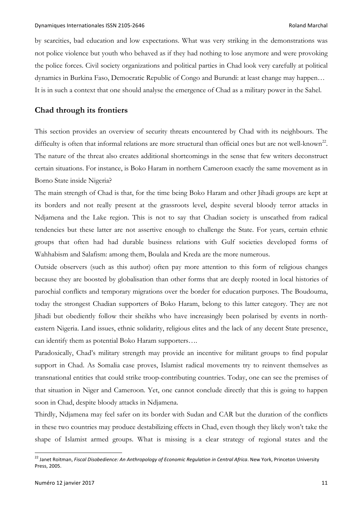by scarcities, bad education and low expectations. What was very striking in the demonstrations was not police violence but youth who behaved as if they had nothing to lose anymore and were provoking the police forces. Civil society organizations and political parties in Chad look very carefully at political dynamics in Burkina Faso, Democratic Republic of Congo and Burundi: at least change may happen… It is in such a context that one should analyse the emergence of Chad as a military power in the Sahel.

# **Chad through its frontiers**

This section provides an overview of security threats encountered by Chad with its neighbours. The difficulty is often that informal relations are more structural than official ones but are not well-known<sup>22</sup>. The nature of the threat also creates additional shortcomings in the sense that few writers deconstruct certain situations. For instance, is Boko Haram in northern Cameroon exactly the same movement as in Borno State inside Nigeria?

The main strength of Chad is that, for the time being Boko Haram and other Jihadi groups are kept at its borders and not really present at the grassroots level, despite several bloody terror attacks in Ndjamena and the Lake region. This is not to say that Chadian society is unscathed from radical tendencies but these latter are not assertive enough to challenge the State. For years, certain ethnic groups that often had had durable business relations with Gulf societies developed forms of Wahhabism and Salafism: among them, Boulala and Kreda are the more numerous.

Outside observers (such as this author) often pay more attention to this form of religious changes because they are boosted by globalisation than other forms that are deeply rooted in local histories of parochial conflicts and temporary migrations over the border for education purposes. The Boudouma, today the strongest Chadian supporters of Boko Haram, belong to this latter category. They are not Jihadi but obediently follow their sheikhs who have increasingly been polarised by events in northeastern Nigeria. Land issues, ethnic solidarity, religious elites and the lack of any decent State presence, can identify them as potential Boko Haram supporters….

Paradoxically, Chad's military strength may provide an incentive for militant groups to find popular support in Chad. As Somalia case proves, Islamist radical movements try to reinvent themselves as transnational entities that could strike troop-contributing countries. Today, one can see the premises of that situation in Niger and Cameroon. Yet, one cannot conclude directly that this is going to happen soon in Chad, despite bloody attacks in Ndjamena.

Thirdly, Ndjamena may feel safer on its border with Sudan and CAR but the duration of the conflicts in these two countries may produce destabilizing effects in Chad, even though they likely won't take the shape of Islamist armed groups. What is missing is a clear strategy of regional states and the

<sup>22</sup> Janet Roitman, *Fiscal Disobedience: An Anthropology of Economic Regulation in Central Africa*. New York, Princeton University Press, 2005.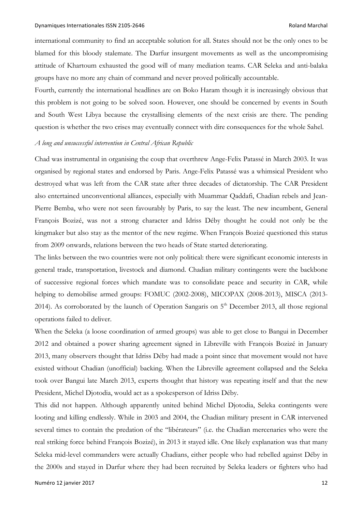international community to find an acceptable solution for all. States should not be the only ones to be blamed for this bloody stalemate. The Darfur insurgent movements as well as the uncompromising attitude of Khartoum exhausted the good will of many mediation teams. CAR Seleka and anti-balaka groups have no more any chain of command and never proved politically accountable.

Fourth, currently the international headlines are on Boko Haram though it is increasingly obvious that this problem is not going to be solved soon. However, one should be concerned by events in South and South West Libya because the crystallising elements of the next crisis are there. The pending question is whether the two crises may eventually connect with dire consequences for the whole Sahel.

#### *A long and unsuccessful intervention in Central African Republic*

Chad was instrumental in organising the coup that overthrew Ange-Felix Patassé in March 2003. It was organised by regional states and endorsed by Paris. Ange-Felix Patassé was a whimsical President who destroyed what was left from the CAR state after three decades of dictatorship. The CAR President also entertained unconventional alliances, especially with Muammar Qaddafi, Chadian rebels and Jean-Pierre Bemba, who were not seen favourably by Paris, to say the least. The new incumbent, General François Bozizé, was not a strong character and Idriss Déby thought he could not only be the kingmaker but also stay as the mentor of the new regime. When François Bozizé questioned this status from 2009 onwards, relations between the two heads of State started deteriorating.

The links between the two countries were not only political: there were significant economic interests in general trade, transportation, livestock and diamond. Chadian military contingents were the backbone of successive regional forces which mandate was to consolidate peace and security in CAR, while helping to demobilise armed groups: FOMUC (2002-2008), MICOPAX (2008-2013), MISCA (2013- 2014). As corroborated by the launch of Operation Sangaris on  $5<sup>th</sup>$  December 2013, all those regional operations failed to deliver.

When the Seleka (a loose coordination of armed groups) was able to get close to Bangui in December 2012 and obtained a power sharing agreement signed in Libreville with François Bozizé in January 2013, many observers thought that Idriss Déby had made a point since that movement would not have existed without Chadian (unofficial) backing. When the Libreville agreement collapsed and the Seleka took over Bangui late March 2013, experts thought that history was repeating itself and that the new President, Michel Djotodia, would act as a spokesperson of Idriss Déby.

This did not happen. Although apparently united behind Michel Djotodia, Seleka contingents were looting and killing endlessly. While in 2003 and 2004, the Chadian military present in CAR intervened several times to contain the predation of the "libérateurs" (i.e. the Chadian mercenaries who were the real striking force behind François Bozizé), in 2013 it stayed idle. One likely explanation was that many Seleka mid-level commanders were actually Chadians, either people who had rebelled against Déby in the 2000s and stayed in Darfur where they had been recruited by Seleka leaders or fighters who had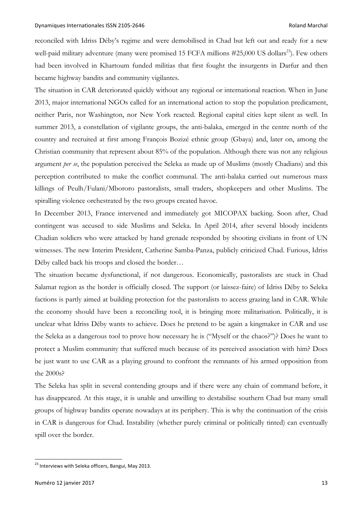reconciled with Idriss Déby's regime and were demobilised in Chad but left out and ready for a new well-paid military adventure (many were promised 15 FCFA millions #25,000 US dollars<sup>23</sup>). Few others had been involved in Khartoum funded militias that first fought the insurgents in Darfur and then became highway bandits and community vigilantes.

The situation in CAR deteriorated quickly without any regional or international reaction. When in June 2013, major international NGOs called for an international action to stop the population predicament, neither Paris, nor Washington, nor New York reacted. Regional capital cities kept silent as well. In summer 2013, a constellation of vigilante groups, the anti-balaka, emerged in the centre north of the country and recruited at first among François Bozizé ethnic group (Gbaya) and, later on, among the Christian community that represent about 85% of the population. Although there was not any religious argument *per se*, the population perceived the Seleka as made up of Muslims (mostly Chadians) and this perception contributed to make the conflict communal. The anti-balaka carried out numerous mass killings of Peulh/Fulani/Mbororo pastoralists, small traders, shopkeepers and other Muslims. The spiralling violence orchestrated by the two groups created havoc.

In December 2013, France intervened and immediately got MICOPAX backing. Soon after, Chad contingent was accused to side Muslims and Seleka. In April 2014, after several bloody incidents Chadian soldiers who were attacked by hand grenade responded by shooting civilians in front of UN witnesses. The new Interim President, Catherine Samba-Panza, publicly criticized Chad. Furious, Idriss Déby called back his troops and closed the border…

The situation became dysfunctional, if not dangerous. Economically, pastoralists are stuck in Chad Salamat region as the border is officially closed. The support (or laissez-faire) of Idriss Déby to Seleka factions is partly aimed at building protection for the pastoralists to access grazing land in CAR. While the economy should have been a reconciling tool, it is bringing more militarisation. Politically, it is unclear what Idriss Déby wants to achieve. Does he pretend to be again a kingmaker in CAR and use the Seleka as a dangerous tool to prove how necessary he is ("Myself or the chaos?")? Does he want to protect a Muslim community that suffered much because of its perceived association with him? Does he just want to use CAR as a playing ground to confront the remnants of his armed opposition from the 2000s?

The Seleka has split in several contending groups and if there were any chain of command before, it has disappeared. At this stage, it is unable and unwilling to destabilise southern Chad but many small groups of highway bandits operate nowadays at its periphery. This is why the continuation of the crisis in CAR is dangerous for Chad. Instability (whether purely criminal or politically tinted) can eventually spill over the border.

<sup>&</sup>lt;sup>23</sup> Interviews with Seleka officers, Bangui, May 2013.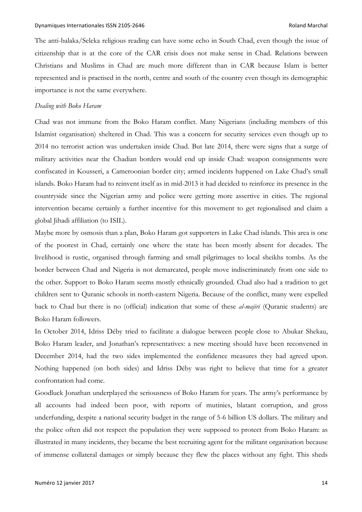The anti-balaka/Seleka religious reading can have some echo in South Chad, even though the issue of citizenship that is at the core of the CAR crisis does not make sense in Chad. Relations between Christians and Muslims in Chad are much more different than in CAR because Islam is better represented and is practised in the north, centre and south of the country even though its demographic importance is not the same everywhere.

#### *Dealing with Boko Haram*

Chad was not immune from the Boko Haram conflict. Many Nigerians (including members of this Islamist organisation) sheltered in Chad. This was a concern for security services even though up to 2014 no terrorist action was undertaken inside Chad. But late 2014, there were signs that a surge of military activities near the Chadian borders would end up inside Chad: weapon consignments were confiscated in Kousseri, a Cameroonian border city; armed incidents happened on Lake Chad's small islands. Boko Haram had to reinvent itself as in mid-2013 it had decided to reinforce its presence in the countryside since the Nigerian army and police were getting more assertive in cities. The regional intervention became certainly a further incentive for this movement to get regionalised and claim a global Jihadi affiliation (to ISIL).

Maybe more by osmosis than a plan, Boko Haram got supporters in Lake Chad islands. This area is one of the poorest in Chad, certainly one where the state has been mostly absent for decades. The livelihood is rustic, organised through farming and small pilgrimages to local sheikhs tombs. As the border between Chad and Nigeria is not demarcated, people move indiscriminately from one side to the other. Support to Boko Haram seems mostly ethnically grounded. Chad also had a tradition to get children sent to Quranic schools in north-eastern Nigeria. Because of the conflict, many were expelled back to Chad but there is no (official) indication that some of these *al-majiri* (Quranic students) are Boko Haram followers.

In October 2014, Idriss Déby tried to facilitate a dialogue between people close to Abukar Shekau, Boko Haram leader, and Jonathan's representatives: a new meeting should have been reconvened in December 2014, had the two sides implemented the confidence measures they had agreed upon. Nothing happened (on both sides) and Idriss Déby was right to believe that time for a greater confrontation had come.

Goodluck Jonathan underplayed the seriousness of Boko Haram for years. The army's performance by all accounts had indeed been poor, with reports of mutinies, blatant corruption, and gross underfunding, despite a national security budget in the range of 5-6 billion US dollars. The military and the police often did not respect the population they were supposed to protect from Boko Haram: as illustrated in many incidents, they became the best recruiting agent for the militant organisation because of immense collateral damages or simply because they flew the places without any fight. This sheds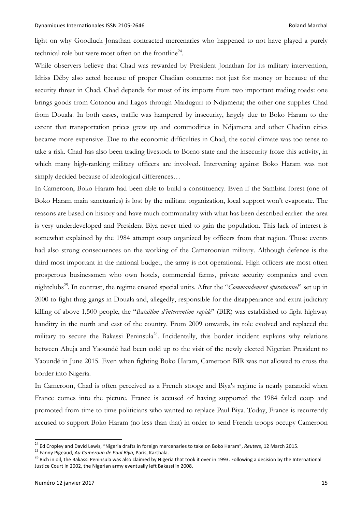light on why Goodluck Jonathan contracted mercenaries who happened to not have played a purely technical role but were most often on the frontline<sup>24</sup>.

While observers believe that Chad was rewarded by President Jonathan for its military intervention, Idriss Déby also acted because of proper Chadian concerns: not just for money or because of the security threat in Chad. Chad depends for most of its imports from two important trading roads: one brings goods from Cotonou and Lagos through Maiduguri to Ndjamena; the other one supplies Chad from Douala. In both cases, traffic was hampered by insecurity, largely due to Boko Haram to the extent that transportation prices grew up and commodities in Ndjamena and other Chadian cities became more expensive. Due to the economic difficulties in Chad, the social climate was too tense to take a risk. Chad has also been trading livestock to Borno state and the insecurity froze this activity, in which many high-ranking military officers are involved. Intervening against Boko Haram was not simply decided because of ideological differences…

In Cameroon, Boko Haram had been able to build a constituency. Even if the Sambisa forest (one of Boko Haram main sanctuaries) is lost by the militant organization, local support won't evaporate. The reasons are based on history and have much communality with what has been described earlier: the area is very underdeveloped and President Biya never tried to gain the population. This lack of interest is somewhat explained by the 1984 attempt coup organized by officers from that region. Those events had also strong consequences on the working of the Cameroonian military. Although defence is the third most important in the national budget, the army is not operational. High officers are most often prosperous businessmen who own hotels, commercial farms, private security companies and even nightclubs25. In contrast, the regime created special units. After the "*Commandement opérationnel*" set up in 2000 to fight thug gangs in Douala and, allegedly, responsible for the disappearance and extra-judiciary killing of above 1,500 people, the "*Bataillon d'intervention rapide*" (BIR) was established to fight highway banditry in the north and east of the country. From 2009 onwards, its role evolved and replaced the military to secure the Bakassi Peninsula<sup>26</sup>. Incidentally, this border incident explains why relations between Abuja and Yaoundé had been cold up to the visit of the newly elected Nigerian President to Yaoundé in June 2015. Even when fighting Boko Haram, Cameroon BIR was not allowed to cross the border into Nigeria.

In Cameroon, Chad is often perceived as a French stooge and Biya's regime is nearly paranoid when France comes into the picture. France is accused of having supported the 1984 failed coup and promoted from time to time politicians who wanted to replace Paul Biya. Today, France is recurrently accused to support Boko Haram (no less than that) in order to send French troops occupy Cameroon

<sup>&</sup>lt;sup>24</sup> Ed Cropley and David Lewis, "Nigeria drafts in foreign mercenaries to take on Boko Haram", *Reuters*, 12 March 2015.<br><sup>25</sup> Fanny Pigeaud, *Au Cameroun de Paul Biya*, Paris, Karthala.<br><sup>26</sup> Rich in oil, the Bakassi Peni Justice Court in 2002, the Nigerian army eventually left Bakassi in 2008.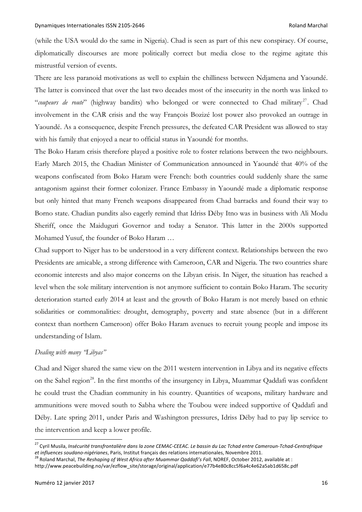(while the USA would do the same in Nigeria). Chad is seen as part of this new conspiracy. Of course, diplomatically discourses are more politically correct but media close to the regime agitate this mistrustful version of events.

There are less paranoid motivations as well to explain the chilliness between Ndjamena and Yaoundé. The latter is convinced that over the last two decades most of the insecurity in the north was linked to "*coupeurs de route*" (highway bandits) who belonged or were connected to Chad military<sup>27</sup>. Chad involvement in the CAR crisis and the way François Bozizé lost power also provoked an outrage in Yaoundé. As a consequence, despite French pressures, the defeated CAR President was allowed to stay with his family that enjoyed a near to official status in Yaoundé for months.

The Boko Haram crisis therefore played a positive role to foster relations between the two neighbours. Early March 2015, the Chadian Minister of Communication announced in Yaoundé that 40% of the weapons confiscated from Boko Haram were French: both countries could suddenly share the same antagonism against their former colonizer. France Embassy in Yaoundé made a diplomatic response but only hinted that many French weapons disappeared from Chad barracks and found their way to Borno state. Chadian pundits also eagerly remind that Idriss Déby Itno was in business with Ali Modu Sheriff, once the Maiduguri Governor and today a Senator. This latter in the 2000s supported Mohamed Yusuf, the founder of Boko Haram …

Chad support to Niger has to be understood in a very different context. Relationships between the two Presidents are amicable, a strong difference with Cameroon, CAR and Nigeria. The two countries share economic interests and also major concerns on the Libyan crisis. In Niger, the situation has reached a level when the sole military intervention is not anymore sufficient to contain Boko Haram. The security deterioration started early 2014 at least and the growth of Boko Haram is not merely based on ethnic solidarities or commonalities: drought, demography, poverty and state absence (but in a different context than northern Cameroon) offer Boko Haram avenues to recruit young people and impose its understanding of Islam.

#### *Dealing with many "Libyas"*

Chad and Niger shared the same view on the 2011 western intervention in Libya and its negative effects on the Sahel region<sup>28</sup>. In the first months of the insurgency in Libya, Muammar Qaddafi was confident he could trust the Chadian community in his country. Quantities of weapons, military hardware and ammunitions were moved south to Sabha where the Toubou were indeed supportive of Qaddafi and Déby. Late spring 2011, under Paris and Washington pressures, Idriss Déby had to pay lip service to the intervention and keep a lower profile.

<sup>27</sup> Cyril Musila, *Insécurité transfrontalière dans la zone CEMAC-CEEAC. Le bassin du Lac Tchad entre Cameroun-Tchad-Centrafrique* et influences soudano-nigérianes, Paris, Institut français des relations internationales, Novembre 2011.<br><sup>28</sup> Roland Marchal, The Reshaping of West Africa after Muammar Qaddafi's Fall, NOREF, October 2012, available at :

http://www.peacebuilding.no/var/ezflow\_site/storage/original/application/e77b4e80c8cc5f6a4c4e62a5ab1d658c.pdf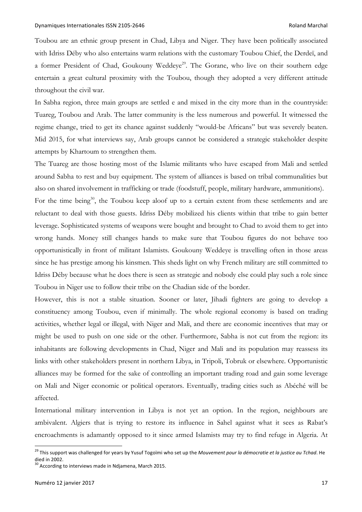Toubou are an ethnic group present in Chad, Libya and Niger. They have been politically associated with Idriss Déby who also entertains warm relations with the customary Toubou Chief, the Derdeï, and a former President of Chad, Goukouny Weddeye<sup>29</sup>. The Gorane, who live on their southern edge entertain a great cultural proximity with the Toubou, though they adopted a very different attitude throughout the civil war.

In Sabha region, three main groups are settled e and mixed in the city more than in the countryside: Tuareg, Toubou and Arab. The latter community is the less numerous and powerful. It witnessed the regime change, tried to get its chance against suddenly "would-be Africans" but was severely beaten. Mid 2015, for what interviews say, Arab groups cannot be considered a strategic stakeholder despite attempts by Khartoum to strengthen them.

The Tuareg are those hosting most of the Islamic militants who have escaped from Mali and settled around Sabha to rest and buy equipment. The system of alliances is based on tribal communalities but also on shared involvement in trafficking or trade (foodstuff, people, military hardware, ammunitions).

For the time being<sup>30</sup>, the Toubou keep aloof up to a certain extent from these settlements and are reluctant to deal with those guests. Idriss Déby mobilized his clients within that tribe to gain better leverage. Sophisticated systems of weapons were bought and brought to Chad to avoid them to get into wrong hands. Money still changes hands to make sure that Toubou figures do not behave too opportunistically in front of militant Islamists. Goukouny Weddeye is travelling often in those areas since he has prestige among his kinsmen. This sheds light on why French military are still committed to Idriss Déby because what he does there is seen as strategic and nobody else could play such a role since Toubou in Niger use to follow their tribe on the Chadian side of the border.

However, this is not a stable situation. Sooner or later, Jihadi fighters are going to develop a constituency among Toubou, even if minimally. The whole regional economy is based on trading activities, whether legal or illegal, with Niger and Mali, and there are economic incentives that may or might be used to push on one side or the other. Furthermore, Sabha is not cut from the region: its inhabitants are following developments in Chad, Niger and Mali and its population may reassess its links with other stakeholders present in northern Libya, in Tripoli, Tobruk or elsewhere. Opportunistic alliances may be formed for the sake of controlling an important trading road and gain some leverage on Mali and Niger economic or political operators. Eventually, trading cities such as Abéché will be affected.

International military intervention in Libya is not yet an option. In the region, neighbours are ambivalent. Algiers that is trying to restore its influence in Sahel against what it sees as Rabat's encroachments is adamantly opposed to it since armed Islamists may try to find refuge in Algeria. At

<sup>29</sup> This support was challenged for years by Yusuf Togoïmi who set up the *Mouvement pour la démocratie et la justice au Tchad*. He died in 2002.<br><sup>30</sup> According to interviews made in Ndjamena, March 2015.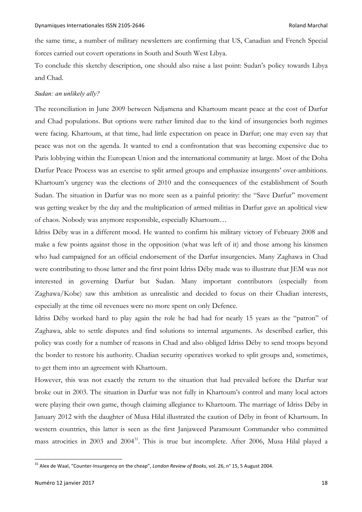the same time, a number of military newsletters are confirming that US, Canadian and French Special forces carried out covert operations in South and South West Libya.

To conclude this sketchy description, one should also raise a last point: Sudan's policy towards Libya and Chad.

## *Sudan: an unlikely ally?*

The reconciliation in June 2009 between Ndjamena and Khartoum meant peace at the cost of Darfur and Chad populations. But options were rather limited due to the kind of insurgencies both regimes were facing. Khartoum, at that time, had little expectation on peace in Darfur; one may even say that peace was not on the agenda. It wanted to end a confrontation that was becoming expensive due to Paris lobbying within the European Union and the international community at large. Most of the Doha Darfur Peace Process was an exercise to split armed groups and emphasize insurgents' over-ambitions. Khartoum's urgency was the elections of 2010 and the consequences of the establishment of South Sudan. The situation in Darfur was no more seen as a painful priority: the "Save Darfur" movement was getting weaker by the day and the multiplication of armed militias in Darfur gave an apolitical view of chaos. Nobody was anymore responsible, especially Khartoum…

Idriss Déby was in a different mood. He wanted to confirm his military victory of February 2008 and make a few points against those in the opposition (what was left of it) and those among his kinsmen who had campaigned for an official endorsement of the Darfur insurgencies. Many Zaghawa in Chad were contributing to those latter and the first point Idriss Déby made was to illustrate that JEM was not interested in governing Darfur but Sudan. Many important contributors (especially from Zaghawa/Kobe) saw this ambition as unrealistic and decided to focus on their Chadian interests, especially at the time oil revenues were no more spent on only Defence.

Idriss Déby worked hard to play again the role he had had for nearly 15 years as the "patron" of Zaghawa, able to settle disputes and find solutions to internal arguments. As described earlier, this policy was costly for a number of reasons in Chad and also obliged Idriss Déby to send troops beyond the border to restore his authority. Chadian security operatives worked to split groups and, sometimes, to get them into an agreement with Khartoum.

However, this was not exactly the return to the situation that had prevailed before the Darfur war broke out in 2003. The situation in Darfur was not fully in Khartoum's control and many local actors were playing their own game, though claiming allegiance to Khartoum. The marriage of Idriss Déby in January 2012 with the daughter of Musa Hilal illustrated the caution of Déby in front of Khartoum. In western countries, this latter is seen as the first Janjaweed Paramount Commander who committed mass atrocities in 2003 and 2004<sup>31</sup>. This is true but incomplete. After 2006, Musa Hilal played a

<sup>31</sup> Alex de Waal, "Counter-Insurgency on the cheap", *London Review of Books*, vol. 26, n° 15, <sup>5</sup> August 2004.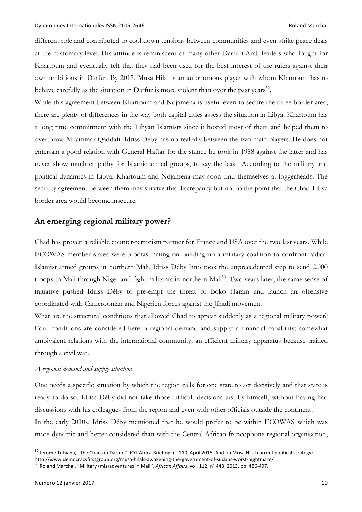different role and contributed to cool down tensions between communities and even strike peace deals at the customary level. His attitude is reminiscent of many other Darfuri Arab leaders who fought for Khartoum and eventually felt that they had been used for the best interest of the rulers against their own ambitions in Darfur. By 2015, Musa Hilal is an autonomous player with whom Khartoum has to behave carefully as the situation in Darfur is more violent than over the past years<sup>32</sup>.

While this agreement between Khartoum and Ndjamena is useful even to secure the three-border area, there are plenty of differences in the way both capital cities assess the situation in Libya. Khartoum has a long time commitment with the Libyan Islamists since it hosted most of them and helped them to overthrow Muammar Qaddafi. Idriss Déby has no real ally between the two main players. He does not entertain a good relation with General Haftar for the stance he took in 1988 against the latter and has never show much empathy for Islamic armed groups, to say the least. According to the military and political dynamics in Libya, Khartoum and Ndjamena may soon find themselves at loggerheads. The security agreement between them may survive this discrepancy but not to the point that the Chad-Libya border area would become insecure.

# **An emerging regional military power?**

Chad has proven a reliable counter-terrorism partner for France and USA over the two last years. While ECOWAS member states were procrastinating on building up a military coalition to confront radical Islamist armed groups in northern Mali, Idriss Déby Itno took the unprecedented step to send 2,000 troops to Mali through Niger and fight militants in northern Mali<sup>33</sup>. Two years later, the same sense of initiative pushed Idriss Déby to pre-empt the threat of Boko Haram and launch an offensive coordinated with Cameroonian and Nigerien forces against the Jihadi movement.

What are the structural conditions that allowed Chad to appear suddenly as a regional military power? Four conditions are considered here: a regional demand and supply; a financial capability; somewhat ambivalent relations with the international community; an efficient military apparatus because trained through a civil war.

### *A regional demand and supply situation*

One needs a specific situation by which the region calls for one state to act decisively and that state is ready to do so. Idriss Déby did not take those difficult decisions just by himself, without having had discussions with his colleagues from the region and even with other officials outside the continent. In the early 2010s, Idriss Déby mentioned that he would prefer to be within ECOWAS which was more dynamic and better considered than with the Central African francophone regional organisation,

<sup>&</sup>lt;sup>32</sup> Jerome Tubiana, "The Chaos in Darfur ", ICG Africa Briefing, n° 110, April 2015. And on Musa Hilal current political strategy:

http://www.democracyfirstgroup.org/musa-hilals-awakening-the-government-of-sudans-worst-nightmare/ <sup>33</sup> Roland Marchal, "Military (mis)adventures in Mali", *African Affairs*, vol. 112, n° 448, 2013, pp. 486-497.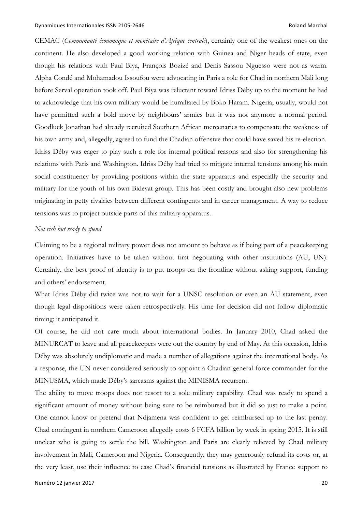CEMAC (*Communauté économique et monétaire d'Afrique centrale*), certainly one of the weakest ones on the continent. He also developed a good working relation with Guinea and Niger heads of state, even though his relations with Paul Biya, François Bozizé and Denis Sassou Nguesso were not as warm. Alpha Condé and Mohamadou Issoufou were advocating in Paris a role for Chad in northern Mali long before Serval operation took off. Paul Biya was reluctant toward Idriss Déby up to the moment he had to acknowledge that his own military would be humiliated by Boko Haram. Nigeria, usually, would not have permitted such a bold move by neighbours' armies but it was not anymore a normal period. Goodluck Jonathan had already recruited Southern African mercenaries to compensate the weakness of his own army and, allegedly, agreed to fund the Chadian offensive that could have saved his re-election. Idriss Déby was eager to play such a role for internal political reasons and also for strengthening his relations with Paris and Washington. Idriss Déby had tried to mitigate internal tensions among his main social constituency by providing positions within the state apparatus and especially the security and military for the youth of his own Bideyat group. This has been costly and brought also new problems originating in petty rivalries between different contingents and in career management. A way to reduce tensions was to project outside parts of this military apparatus.

## *Not rich but ready to spend*

Claiming to be a regional military power does not amount to behave as if being part of a peacekeeping operation. Initiatives have to be taken without first negotiating with other institutions (AU, UN). Certainly, the best proof of identity is to put troops on the frontline without asking support, funding and others' endorsement.

What Idriss Déby did twice was not to wait for a UNSC resolution or even an AU statement, even though legal dispositions were taken retrospectively. His time for decision did not follow diplomatic timing: it anticipated it.

Of course, he did not care much about international bodies. In January 2010, Chad asked the MINURCAT to leave and all peacekeepers were out the country by end of May. At this occasion, Idriss Déby was absolutely undiplomatic and made a number of allegations against the international body. As a response, the UN never considered seriously to appoint a Chadian general force commander for the MINUSMA, which made Déby's sarcasms against the MINISMA recurrent.

The ability to move troops does not resort to a sole military capability. Chad was ready to spend a significant amount of money without being sure to be reimbursed but it did so just to make a point. One cannot know or pretend that Ndjamena was confident to get reimbursed up to the last penny. Chad contingent in northern Cameroon allegedly costs 6 FCFA billion by week in spring 2015. It is still unclear who is going to settle the bill. Washington and Paris are clearly relieved by Chad military involvement in Mali, Cameroon and Nigeria. Consequently, they may generously refund its costs or, at the very least, use their influence to ease Chad's financial tensions as illustrated by France support to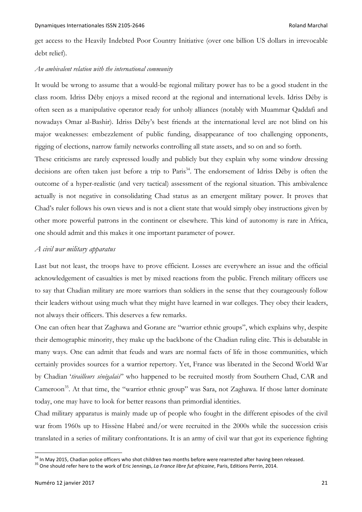get access to the Heavily Indebted Poor Country Initiative (over one billion US dollars in irrevocable debt relief).

#### *An ambivalent relation with the international community*

It would be wrong to assume that a would-be regional military power has to be a good student in the class room. Idriss Déby enjoys a mixed record at the regional and international levels. Idriss Déby is often seen as a manipulative operator ready for unholy alliances (notably with Muammar Qaddafi and nowadays Omar al-Bashir). Idriss Déby's best friends at the international level are not blind on his major weaknesses: embezzlement of public funding, disappearance of too challenging opponents, rigging of elections, narrow family networks controlling all state assets, and so on and so forth.

These criticisms are rarely expressed loudly and publicly but they explain why some window dressing decisions are often taken just before a trip to Paris<sup>34</sup>. The endorsement of Idriss Déby is often the outcome of a hyper-realistic (and very tactical) assessment of the regional situation. This ambivalence actually is not negative in consolidating Chad status as an emergent military power. It proves that Chad's ruler follows his own views and is not a client state that would simply obey instructions given by other more powerful patrons in the continent or elsewhere. This kind of autonomy is rare in Africa, one should admit and this makes it one important parameter of power.

# *A civil war military apparatus*

Last but not least, the troops have to prove efficient. Losses are everywhere an issue and the official acknowledgement of casualties is met by mixed reactions from the public. French military officers use to say that Chadian military are more warriors than soldiers in the sense that they courageously follow their leaders without using much what they might have learned in war colleges. They obey their leaders, not always their officers. This deserves a few remarks.

One can often hear that Zaghawa and Gorane are "warrior ethnic groups", which explains why, despite their demographic minority, they make up the backbone of the Chadian ruling elite. This is debatable in many ways. One can admit that feuds and wars are normal facts of life in those communities, which certainly provides sources for a warrior repertory. Yet, France was liberated in the Second World War by Chadian '*tirailleurs sénégalais*" who happened to be recruited mostly from Southern Chad, CAR and Cameroon<sup>35</sup>. At that time, the "warrior ethnic group" was Sara, not Zaghawa. If those latter dominate today, one may have to look for better reasons than primordial identities.

Chad military apparatus is mainly made up of people who fought in the different episodes of the civil war from 1960s up to Hissène Habré and/or were recruited in the 2000s while the succession crisis translated in a series of military confrontations. It is an army of civil war that got its experience fighting

 $34$  In May 2015, Chadian police officers who shot children two months before were rearrested after having been released.<br>
<sup>35</sup> One should refer here to the work of Eric Jennings, La France libre fut africaine, Paris, Edi